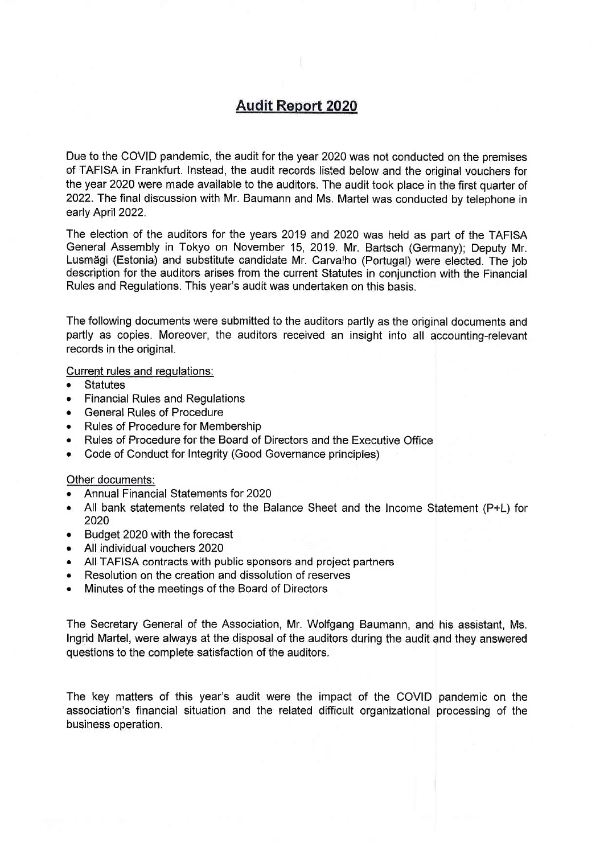# **Audit Report 2020**

Due to the COVID pandemic, the audit for the year 2020 was not conducted on the premises of TAFISA in Frankfurt. l'nstead, the audit records listed below and the oniginal vouchers for the year 2020 were made available to the auditors. The audit took place in the first quarter of 2022. The final discussion with Mr. Baumann and Ms. Martel was conducted by telephone in early April 2022.

The election of the auditors for the years 2019 and 2020 was held as part of the TAFISA General Assembly in Tokyo on November 15, 2Q19. Mr. Bartsch (Germany); Deputy Mr. Lusm'dgi (Estonia) and substitute candidate Mr. Carvalho (Portugal) were elected. The job description for the auditors arises from the current Statutes in conjunction with the Financial Rules and Regulations. This year's audit was undertaken on this basis.

The following documents were submitted to the auditors partly as the original documents and partly as copies. Moreover, the auditors received an insight into all accounting-relevant records in the original.

Current rules and regulations:

- **Statutes**
- **Financial Rules and Regulations**
- **General Rules of Procedure**
- . Rules of Procedure for Membership
- Rules of Procedure for the Board of Directors and the Executive Office
- Code of Conduct for Integrity (Good Governance principles)

#### Other documents:

- . Annual Financial Statements for <sup>2020</sup>
- r All bank statements related to the Balance Sheet and the Income Statement (P+L) for 2020
- Budget 2020 with the forecast
- . All individual vouchers <sup>2020</sup>
- . All TAFISA contracts with public sponsors and project partners
- . Resolution on the creation and dissolution of reserves
- . Minutes of the meetings of the Board of Directors

The Secretary General of the Association, Mr. Wolfgang Baumann, and hig assistant, Ms. Ingrid Martel, were always at the disposal of the auditors during the audit and they answered questions to the complete satisfaction of the auditors.

The key matters of this year's audit were the impact of the COVID pandemic on the association's financial situation and the related difficult organizational processing of the business operation.